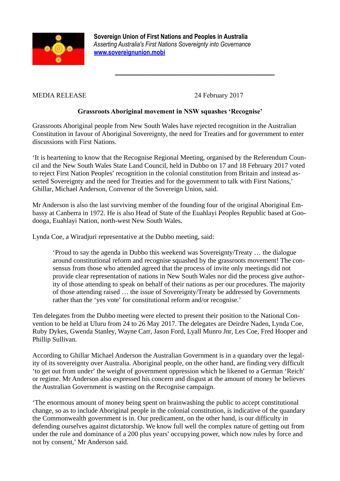

 **Sovereign Union of First Nations and Peoples in Australia** *Asserting Australia's First Nations Sovereignty into Governance*  **[www.sovereignunion.mobi](http://www.sovereignunion.mobi/)**

MEDIA RELEASE 24 February 2017

*\_\_\_\_\_\_\_\_\_\_\_\_\_\_\_\_\_\_\_\_\_\_\_\_\_\_\_\_\_\_\_*

## **Grassroots Aboriginal movement in NSW squashes 'Recognise'**

Grassroots Aboriginal people from New South Wales have rejected recognition in the Australian Constitution in favour of Aboriginal Sovereignty, the need for Treaties and for government to enter discussions with First Nations.

'It is heartening to know that the Recognise Regional Meeting, organised by the Referendum Council and the New South Wales State Land Council, held in Dubbo on 17 and 18 February 2017 voted to reject First Nation Peoples' recognition in the colonial constitution from Britain and instead asserted Sovereignty and the need for Treaties and for the government to talk with First Nations,' Ghillar, Michael Anderson, Convenor of the Sovereign Union, said.

Mr Anderson is also the last surviving member of the founding four of the original Aboriginal Embassy at Canberra in 1972. He is also Head of State of the Euahlayi Peoples Republic based at Goodooga, Euahlayi Nation, north-west New South Wales.

Lynda Coe, a Wiradjuri representative at the Dubbo meeting, said:

'Proud to say the agenda in Dubbo this weekend was Sovereignty/Treaty … the dialogue around constitutional reform and recognise squashed by the grassroots movement! The consensus from those who attended agreed that the process of invite only meetings did not provide clear representation of nations in New South Wales nor did the process give authority of those attending to speak on behalf of their nations as per our procedures. The majority of those attending raised … the issue of Sovereignty/Treaty be addressed by Governments rather than the 'yes vote' for constitutional reform and/or recognise.'

Ten delegates from the Dubbo meeting were elected to present their position to the National Convention to be held at Uluru from 24 to 26 May 2017. The delegates are Deirdre Naden, Lynda Coe, Ruby Dykes, Gwenda Stanley, Wayne Carr, Jason Ford, Lyall Munro Jnr, Les Coe, Fred Hooper and Phillip Sullivan.

According to Ghillar Michael Anderson the Australian Government is in a quandary over the legality of its sovereignty over Australia. Aboriginal people, on the other hand, are finding very difficult 'to get out from under' the weight of government oppression which he likened to a German 'Reich' or regime. Mr Anderson also expressed his concern and disgust at the amount of money he believes the Australian Government is wasting on the Recognise campaign.

'The enormous amount of money being spent on brainwashing the public to accept constitutional change, so as to include Aboriginal people in the colonial constitution, is indicative of the quandary the Commonwealth government is in. Our predicament, on the other hand, is our difficulty in defending ourselves against dictatorship. We know full well the complex nature of getting out from under the rule and dominance of a 200 plus years' occupying power, which now rules by force and not by consent,' Mr Anderson said.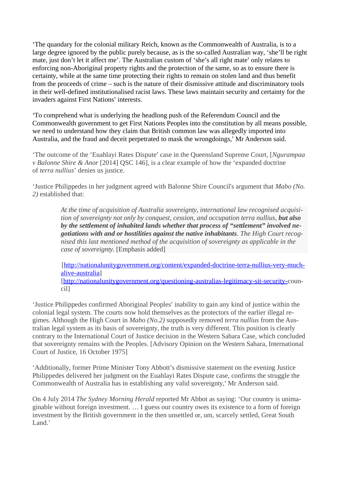'The quandary for the colonial military Reich, known as the Commonwealth of Australia, is to a large degree ignored by the public purely because, as is the so-called Australian way, 'she'll be right mate, just don't let it affect me'. The Australian custom of 'she's all right mate' only relates to enforcing non-Aboriginal property rights and the protection of the same, so as to ensure there is certainty, while at the same time protecting their rights to remain on stolen land and thus benefit from the proceeds of crime – such is the nature of their dismissive attitude and discriminatory tools in their well-defined institutionalised racist laws. These laws maintain security and certainty for the invaders against First Nations' interests.

'To comprehend what is underlying the headlong push of the Referendum Council and the Commonwealth government to get First Nations Peoples into the constitution by all means possible, we need to understand how they claim that British common law was allegedly imported into Australia, and the fraud and deceit perpetrated to mask the wrongdoings,' Mr Anderson said.

'The outcome of the 'Euahlayi Rates Dispute' case in the Queensland Supreme Court, [*Ngurampaa v Balonne Shire & Anor* [2014] QSC 146], is a clear example of how the 'expanded doctrine of *terra nullius*' denies us justice.

'Justice Philippedes in her judgment agreed with Balonne Shire Council's argument that *Mabo (No. 2)* established that:

> *At the time of acquisition of Australia sovereignty, international law recognised acquisition of sovereignty not only by conquest, cession, and occupation terra nullius, but also by the settlement of inhabited lands whether that process of "settlement" involved negotiations with and or hostilities against the native inhabitants. The High Court recognised this last mentioned method of the acquisition of sovereignty as applicable in the case of sovereignty.* [Emphasis added]

> [\[http://nationalunitygovernment.org/content/expanded-doctrine-terra-nullius-very-much](http://nationalunitygovernment.org/content/expanded-doctrine-terra-nullius-very-much-alive-australia)[alive-australia\]](http://nationalunitygovernment.org/content/expanded-doctrine-terra-nullius-very-much-alive-australia) [\[http://nationalunitygovernment.org/questioning-australias-legitimacy-sit-security-c](http://nationalunitygovernment.org/questioning-australias-legitimacy-sit-security-)ouncil]

'Justice Philippedes confirmed Aboriginal Peoples' inability to gain any kind of justice within the colonial legal system. The courts now hold themselves as the protectors of the earlier illegal regimes. Although the High Court in *Mabo (No.2)* supposedly removed *terra nullius* from the Australian legal system as its basis of sovereignty, the truth is very different. This position is clearly contrary to the International Court of Justice decision in the Western Sahara Case, which concluded that sovereignty remains with the Peoples. [Advisory Opinion on the Western Sahara, International Court of Justice, 16 October 1975]

'Additionally, former Prime Minister Tony Abbott's dismissive statement on the evening Justice Philippedes delivered her judgment on the Euahlayi Rates Dispute case, confirms the struggle the Commonwealth of Australia has in establishing any valid sovereignty,' Mr Anderson said.

On 4 July 2014 *The Sydney Morning Herald* reported Mr Abbot as saying: 'Our country is unimaginable without foreign investment. … I guess our country owes its existence to a form of foreign investment by the British government in the then unsettled or, um, scarcely settled, Great South Land.'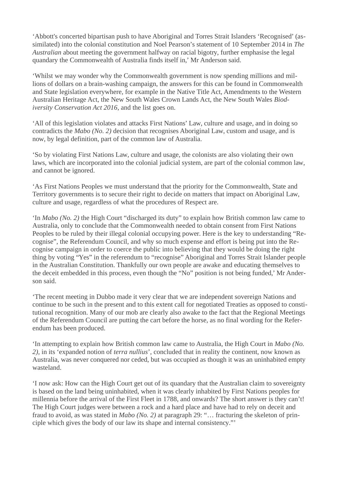'Abbott's concerted bipartisan push to have Aboriginal and Torres Strait Islanders 'Recognised' (assimilated) into the colonial constitution and Noel Pearson's statement of 10 September 2014 in *The Australian* about meeting the government halfway on racial bigotry, further emphasise the legal quandary the Commonwealth of Australia finds itself in,' Mr Anderson said.

'Whilst we may wonder why the Commonwealth government is now spending millions and millions of dollars on a brain-washing campaign, the answers for this can be found in Commonwealth and State legislation everywhere, for example in the Native Title Act, Amendments to the Western Australian Heritage Act, the New South Wales Crown Lands Act, the New South Wales *Biodiversity Conservation Act 2016*, and the list goes on.

'All of this legislation violates and attacks First Nations' Law, culture and usage, and in doing so contradicts the *Mabo (No. 2)* decision that recognises Aboriginal Law, custom and usage, and is now, by legal definition, part of the common law of Australia.

'So by violating First Nations Law, culture and usage, the colonists are also violating their own laws, which are incorporated into the colonial judicial system, are part of the colonial common law, and cannot be ignored.

'As First Nations Peoples we must understand that the priority for the Commonwealth, State and Territory governments is to secure their right to decide on matters that impact on Aboriginal Law, culture and usage, regardless of what the procedures of Respect are.

'In *Mabo (No. 2)* the High Court "discharged its duty" to explain how British common law came to Australia, only to conclude that the Commonwealth needed to obtain consent from First Nations Peoples to be ruled by their illegal colonial occupying power. Here is the key to understanding "Recognise", the Referendum Council, and why so much expense and effort is being put into the Recognise campaign in order to coerce the public into believing that they would be doing the right thing by voting "Yes" in the referendum to "recognise" Aboriginal and Torres Strait Islander people in the Australian Constitution. Thankfully our own people are awake and educating themselves to the deceit embedded in this process, even though the "No" position is not being funded,' Mr Anderson said.

'The recent meeting in Dubbo made it very clear that we are independent sovereign Nations and continue to be such in the present and to this extent call for negotiated Treaties as opposed to constitutional recognition. Many of our mob are clearly also awake to the fact that the Regional Meetings of the Referendum Council are putting the cart before the horse, as no final wording for the Referendum has been produced.

'In attempting to explain how British common law came to Australia, the High Court in *Mabo (No. 2),* in its 'expanded notion of *terra nullius*', concluded that in reality the continent, now known as Australia, was never conquered nor ceded, but was occupied as though it was an uninhabited empty wasteland.

'I now ask: How can the High Court get out of its quandary that the Australian claim to sovereignty is based on the land being uninhabited, when it was clearly inhabited by First Nations peoples for millennia before the arrival of the First Fleet in 1788, and onwards? The short answer is they can't! The High Court judges were between a rock and a hard place and have had to rely on deceit and fraud to avoid, as was stated in *Mabo (No. 2)* at paragraph 29: "… fracturing the skeleton of principle which gives the body of our law its shape and internal consistency."'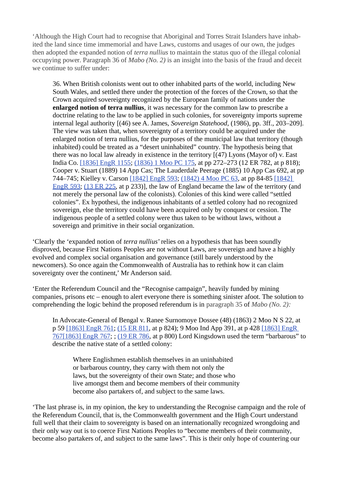'Although the High Court had to recognise that Aboriginal and Torres Strait Islanders have inhabited the land since time immemorial and have Laws, customs and usages of our own, the judges then adopted the expanded notion of *terra nullius* to maintain the status quo of the illegal colonial occupying power. Paragraph 36 of *Mabo (No. 2)* is an insight into the basis of the fraud and deceit we continue to suffer under:

36. When British colonists went out to other inhabited parts of the world, including New South Wales, and settled there under the protection of the forces of the Crown, so that the Crown acquired sovereignty recognized by the European family of nations under the **enlarged notion of terra nullius**, it was necessary for the common law to prescribe a doctrine relating to the law to be applied in such colonies, for sovereignty imports supreme internal legal authority [(46) see A. James, *Sovereign Statehood*, (1986), pp. 3ff., 203–209]. The view was taken that, when sovereignty of a territory could be acquired under the enlarged notion of terra nullius, for the purposes of the municipal law that territory (though inhabited) could be treated as a "desert uninhabited" country. The hypothesis being that there was no local law already in existence in the territory [(47) Lyons (Mayor of) v. East India Co. [\[1836\] EngR 1155;](http://www.commonlii.org/int/cases/EngR/1836/1154.html) [\(1836\) 1 Moo PC 175,](http://www.austlii.edu.au/cgi-bin/LawCite?cit=(1836)%201%20Moore%20PC%20175) at pp 272–273 (12 ER 782, at p 818); Cooper v. Stuart (1889) 14 App Cas; The Lauderdale Peerage (1885) 10 App Cas 692, at pp 744–745; Kielley v. Carson [\[1842\] EngR 593;](http://www.commonlii.org/int/cases/EngR/1842/593.html) [\(1842\) 4 Moo PC 63,](http://www.austlii.edu.au/cgi-bin/LawCite?cit=(1842)%204%20Moore%20PC%2063) at pp 84-85 [\[1842\]](http://www.commonlii.org/int/cases/EngR/1842/593.html) [EngR 593;](http://www.commonlii.org/int/cases/EngR/1842/593.html) [\(13 ER 225,](http://www.austlii.edu.au/cgi-bin/LawCite?cit=13%20ER%20225) at p 233)], the law of England became the law of the territory (and not merely the personal law of the colonists). Colonies of this kind were called "settled colonies". Ex hypothesi, the indigenous inhabitants of a settled colony had no recognized sovereign, else the territory could have been acquired only by conquest or cession. The indigenous people of a settled colony were thus taken to be without laws, without a sovereign and primitive in their social organization.

'Clearly the 'expanded notion of *terra nullius'* relies on a hypothesis that has been soundly disproved, because First Nations Peoples are not without Laws, are sovereign and have a highly evolved and complex social organisation and governance (still barely understood by the newcomers). So once again the Commonwealth of Australia has to rethink how it can claim sovereignty over the continent,' Mr Anderson said.

'Enter the Referendum Council and the "Recognise campaign", heavily funded by mining companies, prisons etc – enough to alert everyone there is something sinister afoot. The solution to comprehending the logic behind the proposed referendum is in paragraph 35 of *Mabo (No. 2):*

In Advocate-General of Bengal v. Ranee Surnomoye Dossee (48) (1863) 2 Moo N S 22, at p 59 [\[1863\] EngR 761;](http://www.commonlii.org/int/cases/EngR/1863/761.html) [\(15 ER 811,](http://www.austlii.edu.au/cgi-bin/LawCite?cit=15%20ER%20811) at p 824); 9 Moo Ind App 391, at p 428 [\[1863\] EngR](http://www.commonlii.org/int/cases/EngR/1863/767.html) [767\[1863\] EngR 767;](http://www.commonlii.org/int/cases/EngR/1863/767.html) ; [\(19 ER 786,](http://www.austlii.edu.au/cgi-bin/LawCite?cit=19%20ER%20786) at p 800) Lord Kingsdown used the term "barbarous" to describe the native state of a settled colony:

Where Englishmen establish themselves in an uninhabited or barbarous country, they carry with them not only the laws, but the sovereignty of their own State; and those who live amongst them and become members of their community become also partakers of, and subject to the same laws.

'The last phrase is, in my opinion, the key to understanding the Recognise campaign and the role of the Referendum Council, that is, the Commonwealth government and the High Court understand full well that their claim to sovereignty is based on an internationally recognized wrongdoing and their only way out is to coerce First Nations Peoples to "become members of their community, become also partakers of, and subject to the same laws". This is their only hope of countering our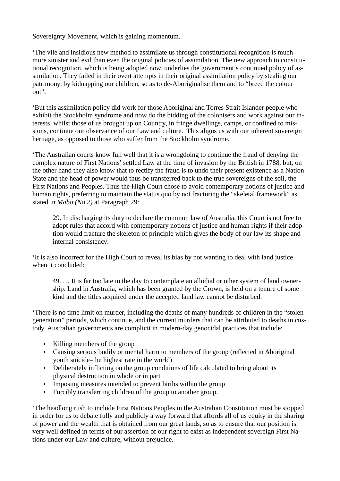Sovereignty Movement, which is gaining momentum.

'The vile and insidious new method to assimilate us through constitutional recognition is much more sinister and evil than even the original policies of assimilation. The new approach to constitutional recognition, which is being adopted now, underlies the government's continued policy of assimilation. They failed in their overt attempts in their original assimilation policy by stealing our patrimony, by kidnapping our children, so as to de-Aboriginalise them and to "breed the colour out".

'But this assimilation policy did work for those Aboriginal and Torres Strait Islander people who exhibit the Stockholm syndrome and now do the bidding of the colonisers and work against our interests, whilst those of us brought up on Country, in fringe dwellings, camps, or confined to missions, continue our observance of our Law and culture. This aligns us with our inherent sovereign heritage, as opposed to those who suffer from the Stockholm syndrome.

'The Australian courts know full well that it is a wrongdoing to continue the fraud of denying the complex nature of First Nations' settled Law at the time of invasion by the British in 1788, but, on the other hand they also know that to rectify the fraud is to undo their present existence as a Nation State and the head of power would thus be transferred back to the true sovereigns of the soil, the First Nations and Peoples. Thus the High Court chose to avoid contemporary notions of justice and human rights, preferring to maintain the status quo by not fracturing the "skeletal framework" as stated in *Mabo (No.2)* at Paragraph 29:

29. In discharging its duty to declare the common law of Australia, this Court is not free to adopt rules that accord with contemporary notions of justice and human rights if their adoption would fracture the skeleton of principle which gives the body of our law its shape and internal consistency.

'It is also incorrect for the High Court to reveal its bias by not wanting to deal with land justice when it concluded:

49. … It is far too late in the day to contemplate an allodial or other system of land ownership. Land in Australia, which has been granted by the Crown, is held on a tenure of some kind and the titles acquired under the accepted land law cannot be disturbed.

'There is no time limit on murder, including the deaths of many hundreds of children in the "stolen generation" periods, which continue, and the current murders that can be attributed to deaths in custody. Australian governments are complicit in modern-day genocidal practices that include:

- Killing members of the group
- Causing serious bodily or mental harm to members of the group (reflected in Aboriginal youth suicide–the highest rate in the world)
- Deliberately inflicting on the group conditions of life calculated to bring about its physical destruction in whole or in part
- Imposing measures intended to prevent births within the group
- Forcibly transferring children of the group to another group.

'The headlong rush to include First Nations Peoples in the Australian Constitution must be stopped in order for us to debate fully and publicly a way forward that affords all of us equity in the sharing of power and the wealth that is obtained from our great lands, so as to ensure that our position is very well defined in terms of our assertion of our right to exist as independent sovereign First Nations under our Law and culture, without prejudice.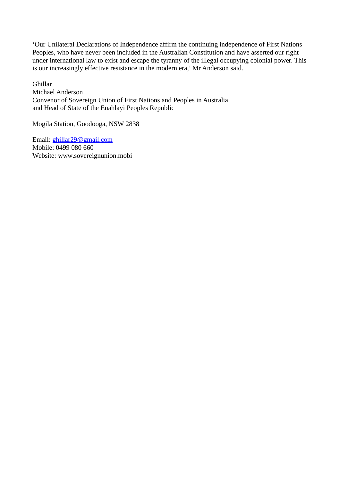'Our Unilateral Declarations of Independence affirm the continuing independence of First Nations Peoples, who have never been included in the Australian Constitution and have asserted our right under international law to exist and escape the tyranny of the illegal occupying colonial power. This is our increasingly effective resistance in the modern era,' Mr Anderson said.

Ghillar Michael Anderson Convenor of Sovereign Union of First Nations and Peoples in Australia and Head of State of the Euahlayi Peoples Republic

Mogila Station, Goodooga, NSW 2838

Email: [ghillar29@gmail.com](mailto:ghillar29@gmail.com) Mobile: 0499 080 660 Website: www.sovereignunion.mobi